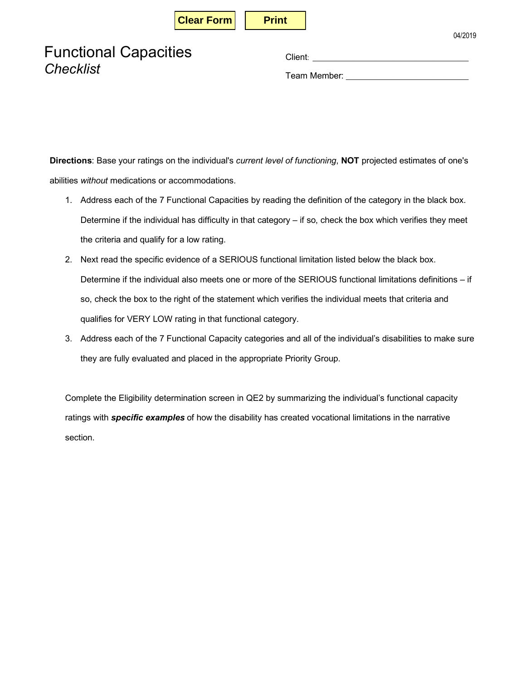| <b>Print</b> |  |  |
|--------------|--|--|
|              |  |  |

04/2019

Team Member: \_\_\_\_\_\_\_\_\_\_\_\_\_\_\_\_\_\_\_\_\_\_\_\_\_\_\_\_\_\_\_\_\_

**Directions**: Base your ratings on the individual's *current level of functioning*, **NOT** projected estimates of one's abilities *without* medications or accommodations.

- 1. Address each of the 7 Functional Capacities by reading the definition of the category in the black box. Determine if the individual has difficulty in that category – if so, check the box which verifies they meet the criteria and qualify for a low rating.
- 2. Next read the specific evidence of a SERIOUS functional limitation listed below the black box. Determine if the individual also meets one or more of the SERIOUS functional limitations definitions – if so, check the box to the right of the statement which verifies the individual meets that criteria and qualifies for VERY LOW rating in that functional category.
- 3. Address each of the 7 Functional Capacity categories and all of the individual's disabilities to make sure they are fully evaluated and placed in the appropriate Priority Group.

Complete the Eligibility determination screen in QE2 by summarizing the individual's functional capacity ratings with *specific examples* of how the disability has created vocational limitations in the narrative section.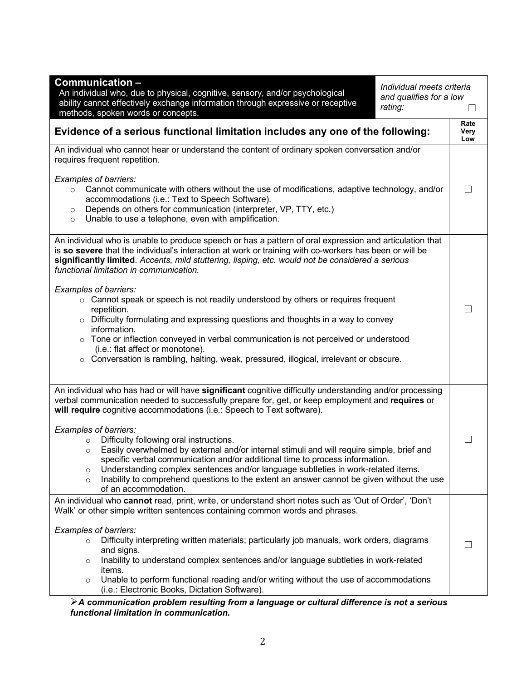| <b>Communication-</b><br>Individual meets criteria<br>An individual who, due to physical, cognitive, sensory, and/or psychological<br>and qualifies for a low<br>ability cannot effectively exchange information through expressive or receptive<br>rating:<br>methods, spoken words or concepts.                                                                                                                                                                                                                                                                                                                                                                                                                                                                                      |                     |
|----------------------------------------------------------------------------------------------------------------------------------------------------------------------------------------------------------------------------------------------------------------------------------------------------------------------------------------------------------------------------------------------------------------------------------------------------------------------------------------------------------------------------------------------------------------------------------------------------------------------------------------------------------------------------------------------------------------------------------------------------------------------------------------|---------------------|
| Evidence of a serious functional limitation includes any one of the following:                                                                                                                                                                                                                                                                                                                                                                                                                                                                                                                                                                                                                                                                                                         | Rate<br>Very<br>Low |
| An individual who cannot hear or understand the content of ordinary spoken conversation and/or<br>requires frequent repetition.                                                                                                                                                                                                                                                                                                                                                                                                                                                                                                                                                                                                                                                        |                     |
| Examples of barriers:<br>Cannot communicate with others without the use of modifications, adaptive technology, and/or<br>$\circ$<br>accommodations (i.e.: Text to Speech Software).<br>Depends on others for communication (interpreter, VP, TTY, etc.)<br>$\circ$<br>Unable to use a telephone, even with amplification.<br>$\circ$                                                                                                                                                                                                                                                                                                                                                                                                                                                   | $\Box$              |
| An individual who is unable to produce speech or has a pattern of oral expression and articulation that<br>is so severe that the individual's interaction at work or training with co-workers has been or will be<br>significantly limited. Accents, mild stuttering, lisping, etc. would not be considered a serious<br>functional limitation in communication.                                                                                                                                                                                                                                                                                                                                                                                                                       |                     |
| Examples of barriers:<br>○ Cannot speak or speech is not readily understood by others or requires frequent<br>repetition.<br>$\circ$ Difficulty formulating and expressing questions and thoughts in a way to convey<br>information.<br>o Tone or inflection conveyed in verbal communication is not perceived or understood<br>(i.e.: flat affect or monotone).<br>$\circ$ Conversation is rambling, halting, weak, pressured, illogical, irrelevant or obscure.                                                                                                                                                                                                                                                                                                                      |                     |
| An individual who has had or will have significant cognitive difficulty understanding and/or processing<br>verbal communication needed to successfully prepare for, get, or keep employment and requires or<br>will require cognitive accommodations (i.e.: Speech to Text software).<br>Examples of barriers:<br>Difficulty following oral instructions.<br>$\circ$<br>Easily overwhelmed by external and/or internal stimuli and will require simple, brief and<br>$\circ$<br>specific verbal communication and/or additional time to process information.<br>Understanding complex sentences and/or language subtleties in work-related items.<br>O<br>Inability to comprehend questions to the extent an answer cannot be given without the use<br>$\circ$<br>of an accommodation. |                     |
| An individual who cannot read, print, write, or understand short notes such as 'Out of Order', 'Don't<br>Walk' or other simple written sentences containing common words and phrases.<br>Examples of barriers:<br>Difficulty interpreting written materials; particularly job manuals, work orders, diagrams<br>$\circ$<br>and signs.<br>Inability to understand complex sentences and/or language subtleties in work-related<br>$\circ$<br>items.<br>Unable to perform functional reading and/or writing without the use of accommodations<br>$\circ$<br>(i.e.: Electronic Books, Dictation Software).                                                                                                                                                                                |                     |

## Ø*A communication problem resulting from a language or cultural difference is not a serious functional limitation in communication.*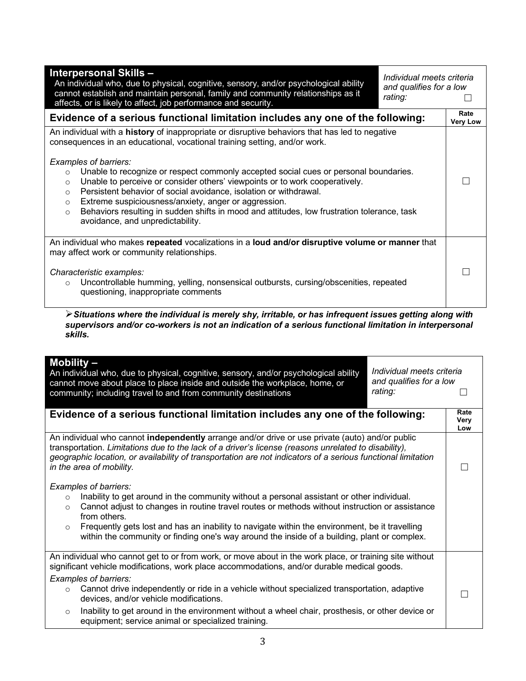| <b>Interpersonal Skills -</b><br>An individual who, due to physical, cognitive, sensory, and/or psychological ability<br>cannot establish and maintain personal, family and community relationships as it<br>affects, or is likely to affect, job performance and security.                                                                                                                                                                                                                                                                                                                                                                                                                        | Individual meets criteria<br>and qualifies for a low<br>rating: |                         |
|----------------------------------------------------------------------------------------------------------------------------------------------------------------------------------------------------------------------------------------------------------------------------------------------------------------------------------------------------------------------------------------------------------------------------------------------------------------------------------------------------------------------------------------------------------------------------------------------------------------------------------------------------------------------------------------------------|-----------------------------------------------------------------|-------------------------|
| Evidence of a serious functional limitation includes any one of the following:                                                                                                                                                                                                                                                                                                                                                                                                                                                                                                                                                                                                                     |                                                                 | Rate<br><b>Very Low</b> |
| An individual with a history of inappropriate or disruptive behaviors that has led to negative<br>consequences in an educational, vocational training setting, and/or work.<br>Examples of barriers:<br>Unable to recognize or respect commonly accepted social cues or personal boundaries.<br>$\circ$<br>Unable to perceive or consider others' viewpoints or to work cooperatively.<br>$\circ$<br>Persistent behavior of social avoidance, isolation or withdrawal.<br>$\circ$<br>Extreme suspiciousness/anxiety, anger or aggression.<br>$\circ$<br>Behaviors resulting in sudden shifts in mood and attitudes, low frustration tolerance, task<br>$\circ$<br>avoidance, and unpredictability. |                                                                 |                         |
| An individual who makes repeated vocalizations in a loud and/or disruptive volume or manner that<br>may affect work or community relationships.<br>Characteristic examples:<br>Uncontrollable humming, yelling, nonsensical outbursts, cursing/obscenities, repeated<br>$\circ$<br>questioning, inappropriate comments                                                                                                                                                                                                                                                                                                                                                                             |                                                                 |                         |

Ø*Situations where the individual is merely shy, irritable, or has infrequent issues getting along with supervisors and/or co-workers is not an indication of a serious functional limitation in interpersonal skills.* 

| Mobility $-$<br>Individual meets criteria<br>An individual who, due to physical, cognitive, sensory, and/or psychological ability<br>and qualifies for a low<br>cannot move about place to place inside and outside the workplace, home, or<br>rating:<br>community; including travel to and from community destinations                                                                                                                                                                                                                                  |                     |
|-----------------------------------------------------------------------------------------------------------------------------------------------------------------------------------------------------------------------------------------------------------------------------------------------------------------------------------------------------------------------------------------------------------------------------------------------------------------------------------------------------------------------------------------------------------|---------------------|
| Evidence of a serious functional limitation includes any one of the following:                                                                                                                                                                                                                                                                                                                                                                                                                                                                            | Rate<br>Very<br>Low |
| An individual who cannot independently arrange and/or drive or use private (auto) and/or public<br>transportation. Limitations due to the lack of a driver's license (reasons unrelated to disability),<br>geographic location, or availability of transportation are not indicators of a serious functional limitation<br>in the area of mobility.                                                                                                                                                                                                       | $\mathbf{L}$        |
| Examples of barriers:<br>Inability to get around in the community without a personal assistant or other individual.<br>$\circ$<br>Cannot adjust to changes in routine travel routes or methods without instruction or assistance<br>$\circ$<br>from others.<br>Frequently gets lost and has an inability to navigate within the environment, be it travelling<br>$\circ$<br>within the community or finding one's way around the inside of a building, plant or complex.                                                                                  |                     |
| An individual who cannot get to or from work, or move about in the work place, or training site without<br>significant vehicle modifications, work place accommodations, and/or durable medical goods.<br>Examples of barriers:<br>Cannot drive independently or ride in a vehicle without specialized transportation, adaptive<br>$\circ$<br>devices, and/or vehicle modifications.<br>Inability to get around in the environment without a wheel chair, prosthesis, or other device or<br>$\circ$<br>equipment; service animal or specialized training. | Г                   |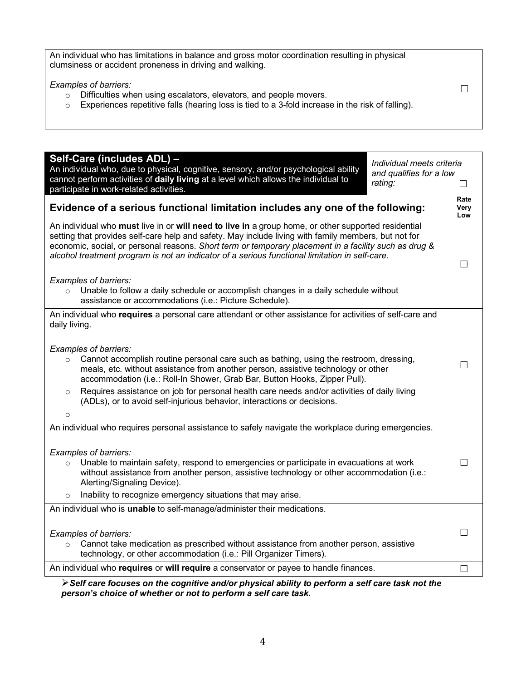| An individual who has limitations in balance and gross motor coordination resulting in physical<br>clumsiness or accident proneness in driving and walking.                                                    |  |
|----------------------------------------------------------------------------------------------------------------------------------------------------------------------------------------------------------------|--|
| Examples of barriers:<br>Difficulties when using escalators, elevators, and people movers.<br>$\circ$<br>Experiences repetitive falls (hearing loss is tied to a 3-fold increase in the risk of falling).<br>O |  |

| Self-Care (includes ADL) -<br>Individual meets criteria<br>An individual who, due to physical, cognitive, sensory, and/or psychological ability<br>and qualifies for a low<br>cannot perform activities of daily living at a level which allows the individual to<br>rating:<br>participate in work-related activities.                                                                                                |  | LI                  |
|------------------------------------------------------------------------------------------------------------------------------------------------------------------------------------------------------------------------------------------------------------------------------------------------------------------------------------------------------------------------------------------------------------------------|--|---------------------|
| Evidence of a serious functional limitation includes any one of the following:                                                                                                                                                                                                                                                                                                                                         |  | Rate<br>Very<br>Low |
| An individual who must live in or will need to live in a group home, or other supported residential<br>setting that provides self-care help and safety. May include living with family members, but not for<br>economic, social, or personal reasons. Short term or temporary placement in a facility such as drug &<br>alcohol treatment program is not an indicator of a serious functional limitation in self-care. |  |                     |
| Examples of barriers:<br>Unable to follow a daily schedule or accomplish changes in a daily schedule without<br>$\circ$<br>assistance or accommodations (i.e.: Picture Schedule).                                                                                                                                                                                                                                      |  |                     |
| An individual who requires a personal care attendant or other assistance for activities of self-care and<br>daily living.                                                                                                                                                                                                                                                                                              |  |                     |
| Examples of barriers:<br>Cannot accomplish routine personal care such as bathing, using the restroom, dressing,<br>$\circ$<br>meals, etc. without assistance from another person, assistive technology or other<br>accommodation (i.e.: Roll-In Shower, Grab Bar, Button Hooks, Zipper Pull).                                                                                                                          |  | П                   |
| Requires assistance on job for personal health care needs and/or activities of daily living<br>$\circ$<br>(ADLs), or to avoid self-injurious behavior, interactions or decisions.<br>$\circ$                                                                                                                                                                                                                           |  |                     |
| An individual who requires personal assistance to safely navigate the workplace during emergencies.                                                                                                                                                                                                                                                                                                                    |  |                     |
| Examples of barriers:<br>Unable to maintain safety, respond to emergencies or participate in evacuations at work<br>$\circ$<br>without assistance from another person, assistive technology or other accommodation (i.e.:<br>Alerting/Signaling Device).                                                                                                                                                               |  |                     |
| Inability to recognize emergency situations that may arise.<br>$\circ$                                                                                                                                                                                                                                                                                                                                                 |  |                     |
| An individual who is unable to self-manage/administer their medications.                                                                                                                                                                                                                                                                                                                                               |  |                     |
| Examples of barriers:<br>Cannot take medication as prescribed without assistance from another person, assistive<br>$\circ$<br>technology, or other accommodation (i.e.: Pill Organizer Timers).                                                                                                                                                                                                                        |  |                     |
| An individual who requires or will require a conservator or payee to handle finances.                                                                                                                                                                                                                                                                                                                                  |  |                     |

Ø*Self care focuses on the cognitive and/or physical ability to perform a self care task not the person's choice of whether or not to perform a self care task.*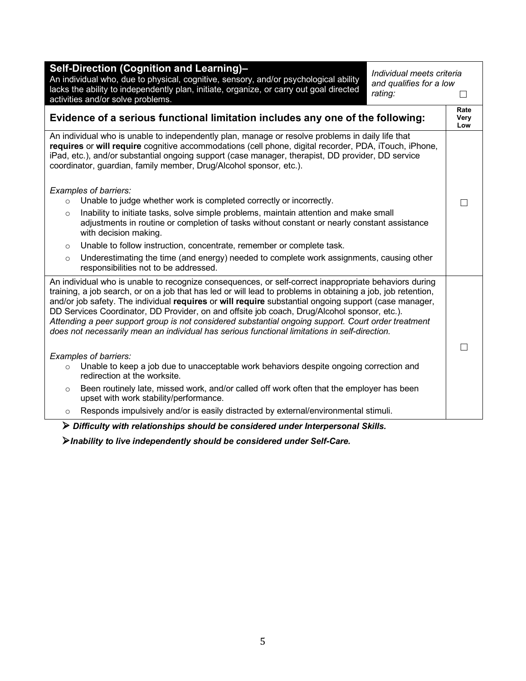| Self-Direction (Cognition and Learning)-<br>Individual meets criteria<br>An individual who, due to physical, cognitive, sensory, and/or psychological ability<br>and qualifies for a low<br>lacks the ability to independently plan, initiate, organize, or carry out goal directed<br>rating:<br>activities and/or solve problems.                                                                                                                                                                                                                                                                                                    | $\vert \ \ \vert$   |
|----------------------------------------------------------------------------------------------------------------------------------------------------------------------------------------------------------------------------------------------------------------------------------------------------------------------------------------------------------------------------------------------------------------------------------------------------------------------------------------------------------------------------------------------------------------------------------------------------------------------------------------|---------------------|
| Evidence of a serious functional limitation includes any one of the following:                                                                                                                                                                                                                                                                                                                                                                                                                                                                                                                                                         | Rate<br>Very<br>Low |
| An individual who is unable to independently plan, manage or resolve problems in daily life that<br>requires or will require cognitive accommodations (cell phone, digital recorder, PDA, iTouch, iPhone,<br>iPad, etc.), and/or substantial ongoing support (case manager, therapist, DD provider, DD service<br>coordinator, guardian, family member, Drug/Alcohol sponsor, etc.).                                                                                                                                                                                                                                                   |                     |
| Examples of barriers:<br>Unable to judge whether work is completed correctly or incorrectly.<br>$\circ$                                                                                                                                                                                                                                                                                                                                                                                                                                                                                                                                |                     |
| Inability to initiate tasks, solve simple problems, maintain attention and make small<br>$\circ$<br>adjustments in routine or completion of tasks without constant or nearly constant assistance<br>with decision making.                                                                                                                                                                                                                                                                                                                                                                                                              |                     |
| Unable to follow instruction, concentrate, remember or complete task.<br>$\circ$                                                                                                                                                                                                                                                                                                                                                                                                                                                                                                                                                       |                     |
| Underestimating the time (and energy) needed to complete work assignments, causing other<br>$\circ$<br>responsibilities not to be addressed.                                                                                                                                                                                                                                                                                                                                                                                                                                                                                           |                     |
| An individual who is unable to recognize consequences, or self-correct inappropriate behaviors during<br>training, a job search, or on a job that has led or will lead to problems in obtaining a job, job retention,<br>and/or job safety. The individual requires or will require substantial ongoing support (case manager,<br>DD Services Coordinator, DD Provider, on and offsite job coach, Drug/Alcohol sponsor, etc.).<br>Attending a peer support group is not considered substantial ongoing support. Court order treatment<br>does not necessarily mean an individual has serious functional limitations in self-direction. |                     |
| Examples of barriers:                                                                                                                                                                                                                                                                                                                                                                                                                                                                                                                                                                                                                  |                     |
| Unable to keep a job due to unacceptable work behaviors despite ongoing correction and<br>$\circ$<br>redirection at the worksite.                                                                                                                                                                                                                                                                                                                                                                                                                                                                                                      |                     |
| Been routinely late, missed work, and/or called off work often that the employer has been<br>$\circ$<br>upset with work stability/performance.                                                                                                                                                                                                                                                                                                                                                                                                                                                                                         |                     |
| Responds impulsively and/or is easily distracted by external/environmental stimuli.<br>$\circ$                                                                                                                                                                                                                                                                                                                                                                                                                                                                                                                                         |                     |

Ø *Difficulty with relationships should be considered under Interpersonal Skills.*

Ø*Inability to live independently should be considered under Self-Care.*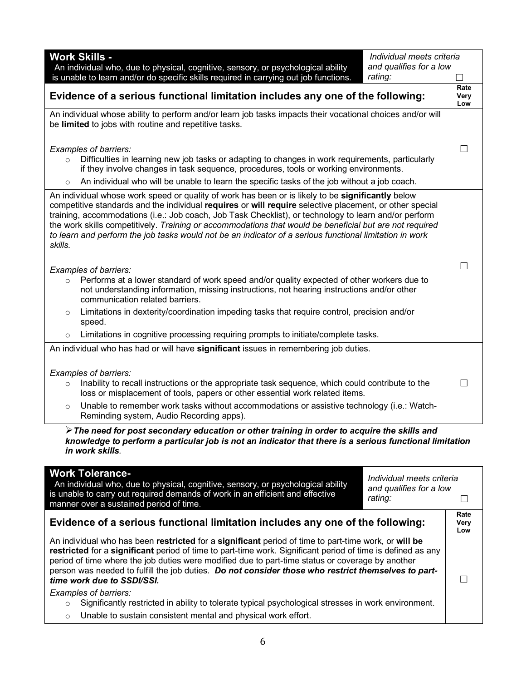| <b>Work Skills -</b><br>Individual meets criteria<br>and qualifies for a low<br>An individual who, due to physical, cognitive, sensory, or psychological ability<br>is unable to learn and/or do specific skills required in carrying out job functions.<br>rating:                                                                                                                                                                                                                                                                                    |                     |
|--------------------------------------------------------------------------------------------------------------------------------------------------------------------------------------------------------------------------------------------------------------------------------------------------------------------------------------------------------------------------------------------------------------------------------------------------------------------------------------------------------------------------------------------------------|---------------------|
| Evidence of a serious functional limitation includes any one of the following:                                                                                                                                                                                                                                                                                                                                                                                                                                                                         | Rate<br>Very<br>Low |
| An individual whose ability to perform and/or learn job tasks impacts their vocational choices and/or will<br>be limited to jobs with routine and repetitive tasks.                                                                                                                                                                                                                                                                                                                                                                                    |                     |
| Examples of barriers:<br>Difficulties in learning new job tasks or adapting to changes in work requirements, particularly<br>$\circ$<br>if they involve changes in task sequence, procedures, tools or working environments.<br>An individual who will be unable to learn the specific tasks of the job without a job coach.<br>$\circ$                                                                                                                                                                                                                | $\Box$              |
| An individual whose work speed or quality of work has been or is likely to be significantly below<br>competitive standards and the individual requires or will require selective placement, or other special<br>training, accommodations (i.e.: Job coach, Job Task Checklist), or technology to learn and/or perform<br>the work skills competitively. Training or accommodations that would be beneficial but are not required<br>to learn and perform the job tasks would not be an indicator of a serious functional limitation in work<br>skills. |                     |
| Examples of barriers:<br>Performs at a lower standard of work speed and/or quality expected of other workers due to<br>$\circ$<br>not understanding information, missing instructions, not hearing instructions and/or other<br>communication related barriers.                                                                                                                                                                                                                                                                                        |                     |
| Limitations in dexterity/coordination impeding tasks that require control, precision and/or<br>$\circ$<br>speed.                                                                                                                                                                                                                                                                                                                                                                                                                                       |                     |
| Limitations in cognitive processing requiring prompts to initiate/complete tasks.<br>$\circ$                                                                                                                                                                                                                                                                                                                                                                                                                                                           |                     |
| An individual who has had or will have significant issues in remembering job duties.                                                                                                                                                                                                                                                                                                                                                                                                                                                                   |                     |
| Examples of barriers:<br>Inability to recall instructions or the appropriate task sequence, which could contribute to the<br>$\circ$<br>loss or misplacement of tools, papers or other essential work related items.                                                                                                                                                                                                                                                                                                                                   |                     |
| Unable to remember work tasks without accommodations or assistive technology (i.e.: Watch-<br>$\circ$<br>Reminding system, Audio Recording apps).                                                                                                                                                                                                                                                                                                                                                                                                      |                     |
| $\triangleright$ The need for post secondary education or other training in order to acquire the skills and                                                                                                                                                                                                                                                                                                                                                                                                                                            |                     |

*knowledge to perform a particular job is not an indicator that there is a serious functional limitation in work skills.*

| <b>Work Tolerance-</b><br>Individual meets criteria<br>An individual who, due to physical, cognitive, sensory, or psychological ability<br>and qualifies for a low<br>is unable to carry out required demands of work in an efficient and effective<br>rating:<br>manner over a sustained period of time.                                                                                                                                                    |                     |
|--------------------------------------------------------------------------------------------------------------------------------------------------------------------------------------------------------------------------------------------------------------------------------------------------------------------------------------------------------------------------------------------------------------------------------------------------------------|---------------------|
| Evidence of a serious functional limitation includes any one of the following:                                                                                                                                                                                                                                                                                                                                                                               | Rate<br>Very<br>Low |
| An individual who has been restricted for a significant period of time to part-time work, or will be<br>restricted for a significant period of time to part-time work. Significant period of time is defined as any<br>period of time where the job duties were modified due to part-time status or coverage by another<br>person was needed to fulfill the job duties. Do not consider those who restrict themselves to part-<br>time work due to SSDI/SSI. |                     |
| Examples of barriers:                                                                                                                                                                                                                                                                                                                                                                                                                                        |                     |
| Significantly restricted in ability to tolerate typical psychological stresses in work environment.<br>$\circ$                                                                                                                                                                                                                                                                                                                                               |                     |
| Unable to sustain consistent mental and physical work effort.<br>$\circ$                                                                                                                                                                                                                                                                                                                                                                                     |                     |